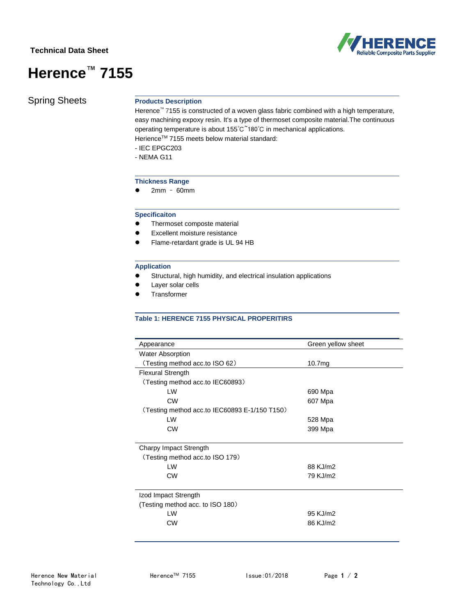# **Technical Data Sheet**





Spring Sheets **Products Description**

Herence™ 7155 is constructed of a woven glass fabric combined with a high temperature, easy machining expoxy resin. It's a type of thermoset composite material.The continuous operating temperature is about 155℃~180℃ in mechanical applications. Herience™ 7155 meets below material standard:

- IEC EPGC203
- NEMA G11

### **Thickness Range**

● 2mm - 60mm

## **Specificaiton**

- ⚫ Thermoset composte material
- ⚫ Excellent moisture resistance
- ⚫ Flame-retardant grade is UL 94 HB

#### **Application**

- ⚫ Structural, high humidity, and electrical insulation applications
- ⚫ Layer solar cells
- **Transformer**

## **Table 1: HERENCE 7155 PHYSICAL PROPERITIRS**

| Appearance                                    | Green yellow sheet |
|-----------------------------------------------|--------------------|
| <b>Water Absorption</b>                       |                    |
| (Testing method acc.to ISO 62)                | 10.7 <sub>mg</sub> |
| <b>Flexural Strength</b>                      |                    |
| (Testing method acc.to IEC60893)              |                    |
| LW                                            | 690 Mpa            |
| <b>CW</b>                                     | 607 Mpa            |
| (Testing method acc.to IEC60893 E-1/150 T150) |                    |
| LW                                            | 528 Mpa            |
| <b>CW</b>                                     | 399 Mpa            |
|                                               |                    |
| Charpy Impact Strength                        |                    |
| (Testing method acc.to ISO 179)               |                    |
| I W                                           | 88 K.I/m2          |
| <b>CW</b>                                     | 79 KJ/m2           |
|                                               |                    |
| Izod Impact Strength                          |                    |
| (Testing method acc. to ISO 180)              |                    |
| I W                                           | 95 KJ/m2           |
| <b>CW</b>                                     | 86 KJ/m2           |
|                                               |                    |